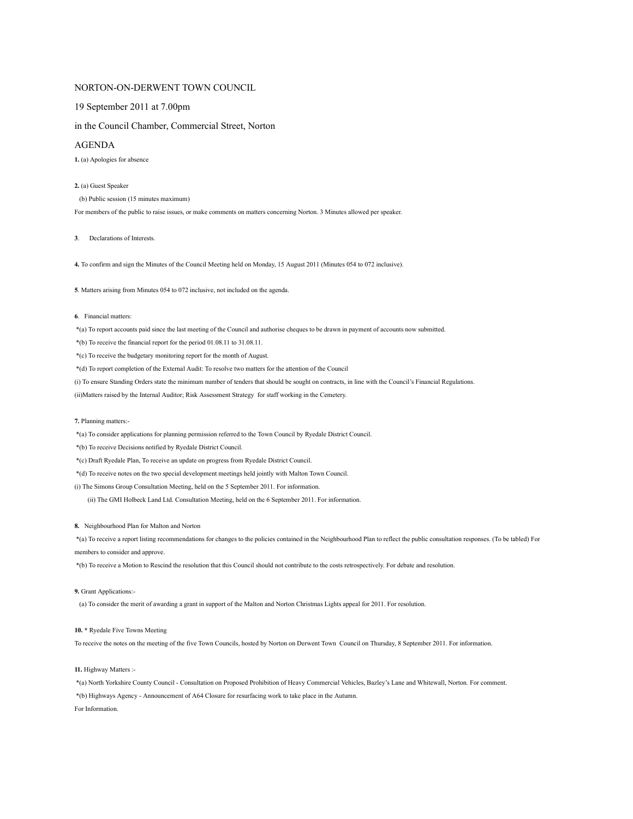## NORTON-ON-DERWENT TOWN COUNCIL

# 19 September 2011 at 7.00pm

# in the Council Chamber, Commercial Street, Norton

## AGENDA

**1.** (a) Apologies for absence

### **2.** (a) Guest Speaker

(b) Public session (15 minutes maximum)

For members of the public to raise issues, or make comments on matters concerning Norton. 3 Minutes allowed per speaker.

**3**. Declarations of Interests.

**4.** To confirm and sign the Minutes of the Council Meeting held on Monday, 15 August 2011 (Minutes 054 to 072 inclusive).

**5**. Matters arising from Minutes 054 to 072 inclusive, not included on the agenda.

### **6**. Financial matters:

\*(a) To report accounts paid since the last meeting of the Council and authorise cheques to be drawn in payment of accounts now submitted.

\*(b) To receive the financial report for the period 01.08.11 to 31.08.11.

\*(c) To receive the budgetary monitoring report for the month of August.

\*(d) To report completion of the External Audit: To resolve two matters for the attention of the Council

(i) To ensure Standing Orders state the minimum number of tenders that should be sought on contracts, in line with the Council's Financial Regulations.

(ii)Matters raised by the Internal Auditor; Risk Assessment Strategy for staff working in the Cemetery.

#### **7.** Planning matters:-

\*(a) To consider applications for planning permission referred to the Town Council by Ryedale District Council.

\*(b) To receive Decisions notified by Ryedale District Council.

\*(c) Draft Ryedale Plan, To receive an update on progress from Ryedale District Council.

\*(d) To receive notes on the two special development meetings held jointly with Malton Town Council.

(i) The Simons Group Consultation Meeting, held on the 5 September 2011. For information.

(ii) The GMI Holbeck Land Ltd. Consultation Meeting, held on the 6 September 2011. For information.

#### **8.** Neighbourhood Plan for Malton and Norton

 \*(a) To receive a report listing recommendations for changes to the policies contained in the Neighbourhood Plan to reflect the public consultation responses. (To be tabled) For members to consider and approve.

\*(b) To receive a Motion to Rescind the resolution that this Council should not contribute to the costs retrospectively. For debate and resolution.

## **9.** Grant Applications:-

(a) To consider the merit of awarding a grant in support of the Malton and Norton Christmas Lights appeal for 2011. For resolution.

#### **10. \*** Ryedale Five Towns Meeting

To receive the notes on the meeting of the five Town Councils, hosted by Norton on Derwent Town Council on Thursday, 8 September 2011. For information.

## **11.** Highway Matters :-

\*(a) North Yorkshire County Council - Consultation on Proposed Prohibition of Heavy Commercial Vehicles, Bazley's Lane and Whitewall, Norton. For comment.

\*(b) Highways Agency - Announcement of A64 Closure for resurfacing work to take place in the Autumn.

For Information.